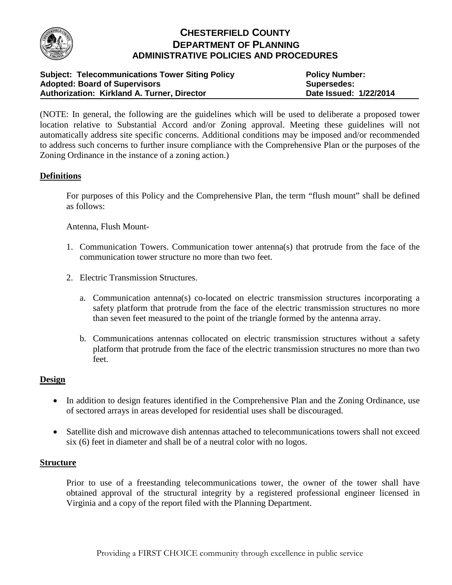

# **CHESTERFIELD COUNTY DEPARTMENT OF PLANNING ADMINISTRATIVE POLICIES AND PROCEDURES**

| <b>Subject: Telecommunications Tower Siting Policy</b> | <b>Policy Number:</b>  |
|--------------------------------------------------------|------------------------|
| <b>Adopted: Board of Supervisors</b>                   | Supersedes:            |
| Authorization: Kirkland A. Turner, Director            | Date Issued: 1/22/2014 |

(NOTE: In general, the following are the guidelines which will be used to deliberate a proposed tower location relative to Substantial Accord and/or Zoning approval. Meeting these guidelines will not automatically address site specific concerns. Additional conditions may be imposed and/or recommended to address such concerns to further insure compliance with the Comprehensive Plan or the purposes of the Zoning Ordinance in the instance of a zoning action.)

## **Definitions**

For purposes of this Policy and the Comprehensive Plan, the term "flush mount" shall be defined as follows:

Antenna, Flush Mount-

- 1. Communication Towers. Communication tower antenna(s) that protrude from the face of the communication tower structure no more than two feet.
- 2. Electric Transmission Structures.
	- a. Communication antenna(s) co-located on electric transmission structures incorporating a safety platform that protrude from the face of the electric transmission structures no more than seven feet measured to the point of the triangle formed by the antenna array.
	- b. Communications antennas collocated on electric transmission structures without a safety platform that protrude from the face of the electric transmission structures no more than two feet.

### **Design**

- In addition to design features identified in the Comprehensive Plan and the Zoning Ordinance, use of sectored arrays in areas developed for residential uses shall be discouraged.
- Satellite dish and microwave dish antennas attached to telecommunications towers shall not exceed six (6) feet in diameter and shall be of a neutral color with no logos.

#### **Structure**

Prior to use of a freestanding telecommunications tower, the owner of the tower shall have obtained approval of the structural integrity by a registered professional engineer licensed in Virginia and a copy of the report filed with the Planning Department.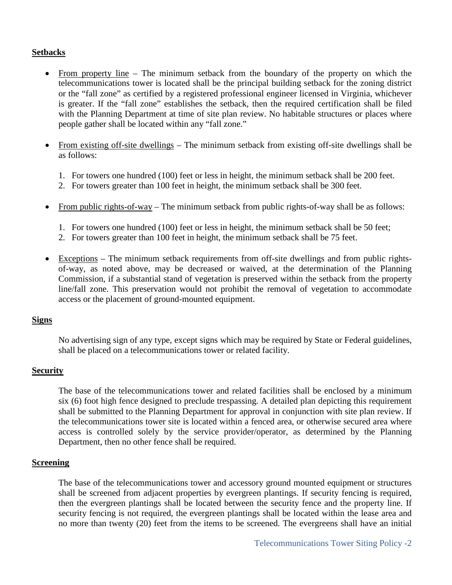## **Setbacks**

- From property line The minimum setback from the boundary of the property on which the telecommunications tower is located shall be the principal building setback for the zoning district or the "fall zone" as certified by a registered professional engineer licensed in Virginia, whichever is greater. If the "fall zone" establishes the setback, then the required certification shall be filed with the Planning Department at time of site plan review. No habitable structures or places where people gather shall be located within any "fall zone."
- From existing off-site dwellings The minimum setback from existing off-site dwellings shall be as follows:
	- 1. For towers one hundred (100) feet or less in height, the minimum setback shall be 200 feet.
	- 2. For towers greater than 100 feet in height, the minimum setback shall be 300 feet.
- From public rights-of-way The minimum setback from public rights-of-way shall be as follows:
	- 1. For towers one hundred (100) feet or less in height, the minimum setback shall be 50 feet;
	- 2. For towers greater than 100 feet in height, the minimum setback shall be 75 feet.
- Exceptions The minimum setback requirements from off-site dwellings and from public rightsof-way, as noted above, may be decreased or waived, at the determination of the Planning Commission, if a substantial stand of vegetation is preserved within the setback from the property line/fall zone. This preservation would not prohibit the removal of vegetation to accommodate access or the placement of ground-mounted equipment.

### **Signs**

No advertising sign of any type, except signs which may be required by State or Federal guidelines, shall be placed on a telecommunications tower or related facility.

### **Security**

The base of the telecommunications tower and related facilities shall be enclosed by a minimum six (6) foot high fence designed to preclude trespassing. A detailed plan depicting this requirement shall be submitted to the Planning Department for approval in conjunction with site plan review. If the telecommunications tower site is located within a fenced area, or otherwise secured area where access is controlled solely by the service provider/operator, as determined by the Planning Department, then no other fence shall be required.

### **Screening**

The base of the telecommunications tower and accessory ground mounted equipment or structures shall be screened from adjacent properties by evergreen plantings. If security fencing is required, then the evergreen plantings shall be located between the security fence and the property line. If security fencing is not required, the evergreen plantings shall be located within the lease area and no more than twenty (20) feet from the items to be screened. The evergreens shall have an initial